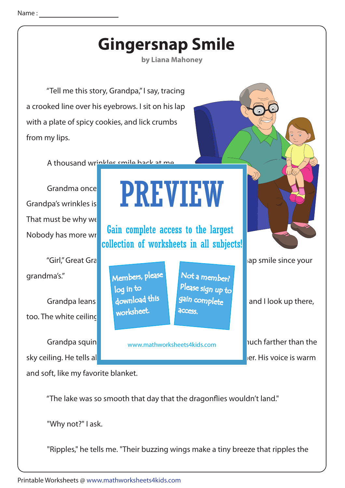

"Why not?" I ask.

"Ripples," he tells me. "Their buzzing wings make a tiny breeze that ripples the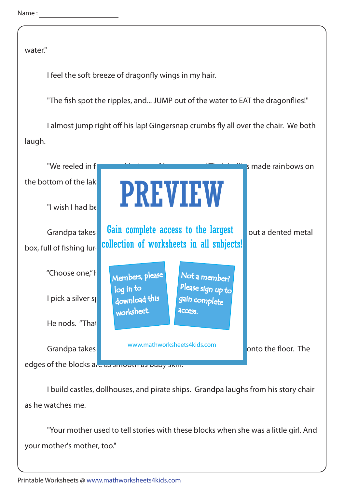Name :

water."

I feel the soft breeze of dragonfly wings in my hair.

"The fish spot the ripples, and... JUMP out of the water to EAT the dragonflies!"

I almost jump right off his lap! Gingersnap crumbs fly all over the chair. We both laugh.



 I build castles, dollhouses, and pirate ships. Grandpa laughs from his story chair as he watches me.

 "Your mother used to tell stories with these blocks when she was a little girl. And your mother's mother, too."

Printable Worksheets @ www.mathworksheets4kids.com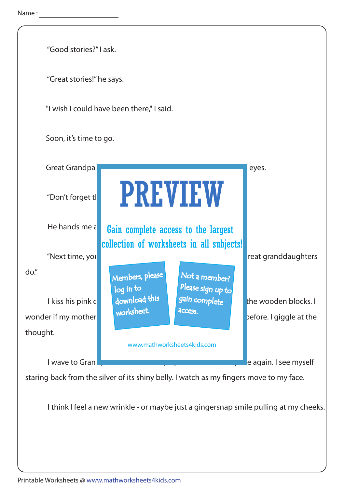| "Good stories?"   ask.                                                                  |                                           |                                                                                  |                                                                                       |  |  |  |
|-----------------------------------------------------------------------------------------|-------------------------------------------|----------------------------------------------------------------------------------|---------------------------------------------------------------------------------------|--|--|--|
| "Great stories!" he says.                                                               |                                           |                                                                                  |                                                                                       |  |  |  |
|                                                                                         | "I wish I could have been there," I said. |                                                                                  |                                                                                       |  |  |  |
| Soon, it's time to go.                                                                  |                                           |                                                                                  |                                                                                       |  |  |  |
| <b>Great Grandpa</b>                                                                    |                                           |                                                                                  | eyes.                                                                                 |  |  |  |
| "Don't forget tl                                                                        |                                           | <b>PREVIEW</b>                                                                   |                                                                                       |  |  |  |
| He hands me a                                                                           |                                           | Gain complete access to the largest<br>collection of worksheets in all subjects! |                                                                                       |  |  |  |
| "Next time, you                                                                         |                                           |                                                                                  | reat granddaughters                                                                   |  |  |  |
| do."                                                                                    | Members, please                           | Not a member?                                                                    |                                                                                       |  |  |  |
| I kiss his pink c                                                                       | log in to<br>download this                | Please sign up to<br>gain complete                                               | the wooden blocks. I                                                                  |  |  |  |
| wonder if my mother                                                                     | worksheet.                                | access.                                                                          | pefore. I giggle at the                                                               |  |  |  |
| thought.                                                                                |                                           |                                                                                  |                                                                                       |  |  |  |
|                                                                                         |                                           | www.mathworksheets4kids.com                                                      |                                                                                       |  |  |  |
| I wave to Grand                                                                         |                                           |                                                                                  | le again. I see myself                                                                |  |  |  |
| staring back from the silver of its shiny belly. I watch as my fingers move to my face. |                                           |                                                                                  |                                                                                       |  |  |  |
|                                                                                         |                                           |                                                                                  | I think I feel a new wrinkle - or maybe just a gingersnap smile pulling at my cheeks. |  |  |  |
|                                                                                         |                                           |                                                                                  |                                                                                       |  |  |  |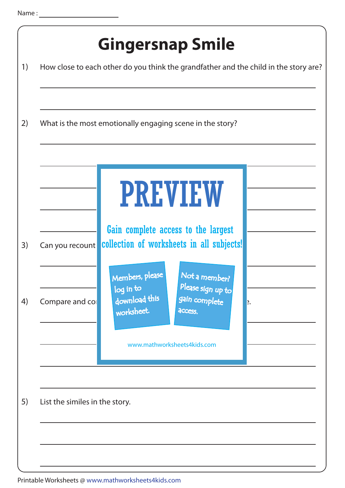|                 | What is the most emotionally engaging scene in the story? |                                     |    |
|-----------------|-----------------------------------------------------------|-------------------------------------|----|
|                 |                                                           | <b>PREVIEW</b>                      |    |
| Can you recount | collection of worksheets in all subjects!                 | Gain complete access to the largest |    |
|                 | Members, please<br>log in to                              | Not a member?<br>Please sign up to  |    |
| Compare and col | download this<br>worksheet.                               | gain complete<br>access.            | ₿. |
|                 |                                                           | www.mathworksheets4kids.com         |    |
|                 |                                                           |                                     |    |

Printable Worksheets @ www.mathworksheets4kids.com